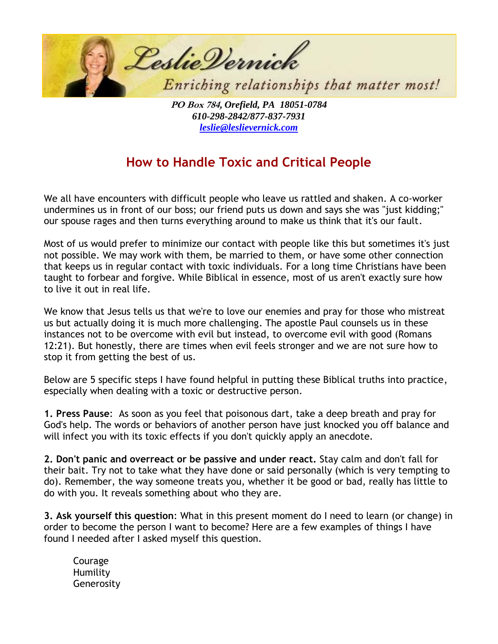

**PO Box 784,** *Orefield, PA 18051-0784 610-298-2842/877-837-7931 [leslie@leslievernick.com](mailto:leslie@leslievernick.com)*

## **How to Handle Toxic and Critical People**

We all have encounters with difficult people who leave us rattled and shaken. A co-worker undermines us in front of our boss; our friend puts us down and says she was "just kidding;" our spouse rages and then turns everything around to make us think that it's our fault.

Most of us would prefer to minimize our contact with people like this but sometimes it's just not possible. We may work with them, be married to them, or have some other connection that keeps us in regular contact with toxic individuals. For a long time Christians have been taught to forbear and forgive. While Biblical in essence, most of us aren't exactly sure how to live it out in real life.

We know that Jesus tells us that we're to love our enemies and pray for those who mistreat us but actually doing it is much more challenging. The apostle Paul counsels us in these instances not to be overcome with evil but instead, to overcome evil with good (Romans 12:21). But honestly, there are times when evil feels stronger and we are not sure how to stop it from getting the best of us.

Below are 5 specific steps I have found helpful in putting these Biblical truths into practice, especially when dealing with a toxic or destructive person.

**1. Press Pause**: As soon as you feel that poisonous dart, take a deep breath and pray for God's help. The words or behaviors of another person have just knocked you off balance and will infect you with its toxic effects if you don't quickly apply an anecdote.

**2. Don't panic and overreact or be passive and under react.** Stay calm and don't fall for their bait. Try not to take what they have done or said personally (which is very tempting to do). Remember, the way someone treats you, whether it be good or bad, really has little to do with you. It reveals something about who they are.

**3. Ask yourself this question**: What in this present moment do I need to learn (or change) in order to become the person I want to become? Here are a few examples of things I have found I needed after I asked myself this question.

Courage Humility Generosity